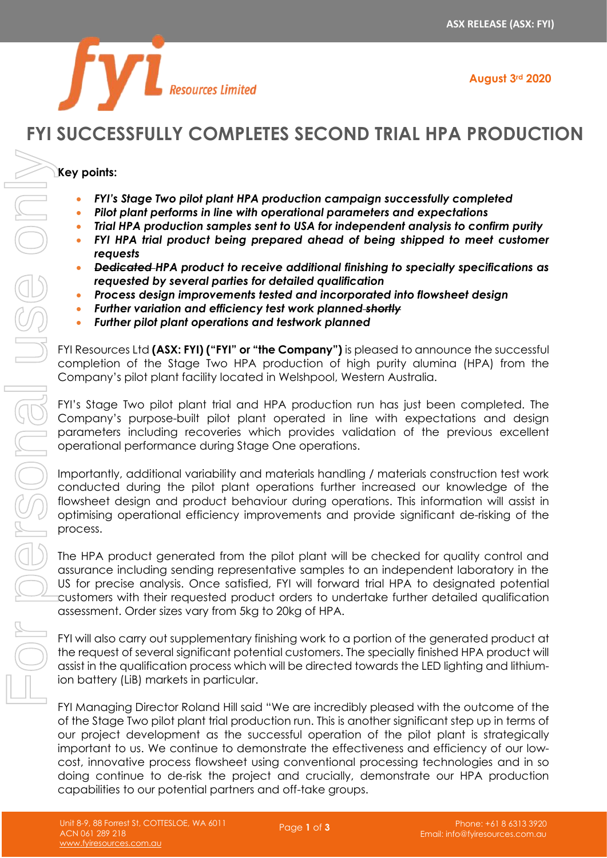**August 3rd 2020**



# **FYI SUCCESSFULLY COMPLETES SECOND TRIAL HPA PRODUCTION**

## **Key points:**

- *FYI's Stage Two pilot plant HPA production campaign successfully completed*
- *Pilot plant performs in line with operational parameters and expectations*
- *Trial HPA production samples sent to USA for independent analysis to confirm purity*
- *FYI HPA trial product being prepared ahead of being shipped to meet customer requests*
- *Dedicated HPA product to receive additional finishing to specialty specifications as requested by several parties for detailed qualification*
- *Process design improvements tested and incorporated into flowsheet design*
- *Further variation and efficiency test work planned shortly*
- *Further pilot plant operations and testwork planned*

FYI Resources Ltd **(ASX: FYI) ("FYI" or "the Company")** is pleased to announce the successful completion of the Stage Two HPA production of high purity alumina (HPA) from the Company's pilot plant facility located in Welshpool, Western Australia.

FYI's Stage Two pilot plant trial and HPA production run has just been completed. The Company's purpose-built pilot plant operated in line with expectations and design parameters including recoveries which provides validation of the previous excellent operational performance during Stage One operations.

Importantly, additional variability and materials handling / materials construction test work conducted during the pilot plant operations further increased our knowledge of the flowsheet design and product behaviour during operations. This information will assist in optimising operational efficiency improvements and provide significant de-risking of the process.

The HPA product generated from the pilot plant will be checked for quality control and assurance including sending representative samples to an independent laboratory in the US for precise analysis. Once satisfied, FYI will forward trial HPA to designated potential customers with their requested product orders to undertake further detailed qualification assessment. Order sizes vary from 5kg to 20kg of HPA.

FYI will also carry out supplementary finishing work to a portion of the generated product at the request of several significant potential customers. The specially finished HPA product will assist in the qualification process which will be directed towards the LED lighting and lithiumion battery (LiB) markets in particular.

FYI Managing Director Roland Hill said "We are incredibly pleased with the outcome of the of the Stage Two pilot plant trial production run. This is another significant step up in terms of our project development as the successful operation of the pilot plant is strategically important to us. We continue to demonstrate the effectiveness and efficiency of our lowcost, innovative process flowsheet using conventional processing technologies and in so doing continue to de-risk the project and crucially, demonstrate our HPA production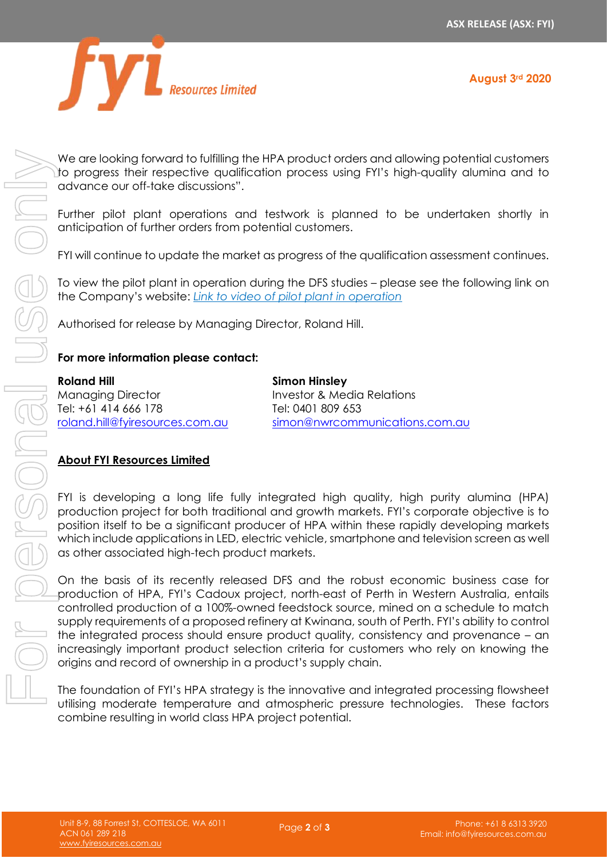

We are looking forward to fulfilling the HPA product orders and allowing potential customers to progress their respective qualification process using FYI's high-quality alumina and to advance our off-take discussions".

Further pilot plant operations and testwork is planned to be undertaken shortly in anticipation of further orders from potential customers.

FYI will continue to update the market as progress of the qualification assessment continues.

To view the pilot plant in operation during the DFS studies – please see the following link on the Company's [website:](https://www.fyiresources.com.au/) *[Link to video of pilot plant in operation](https://drive.google.com/file/d/1_7pJklbshnOUHRPa_1-WYzrHeBV9kv-g/view)*

Authorised for release by Managing Director, Roland Hill.

### **For more information please contact:**

**Roland Hill** Managing Director Tel: +61 414 666 178 [roland.hill@fyiresources.com.au](mailto:roland.hill@fyiresources.com.au) **Simon Hinsley** Investor & Media Relations Tel: 0401 809 653 [simon@nwrcommunications.com.au](mailto:simon@nwrcommunications.com.au)

## **About FYI Resources Limited**

FYI is developing a long life fully integrated high quality, high purity alumina (HPA) production project for both traditional and growth markets. FYI's corporate objective is to position itself to be a significant producer of HPA within these rapidly developing markets which include applications in LED, electric vehicle, smartphone and television screen as well as other associated high-tech product markets.

On the basis of its recently released DFS and the robust economic business case for production of HPA, FYI's Cadoux project, north-east of Perth in Western Australia, entails controlled production of a 100%-owned feedstock source, mined on a schedule to match supply requirements of a proposed refinery at Kwinana, south of Perth. FYI's ability to control the integrated process should ensure product quality, consistency and provenance – an increasingly important product selection criteria for customers who rely on knowing the origins and record of ownership in a product's supply chain. We are looking the metric interfine the first predict orders out in the first product of the modern of the stationary of the modern of the modern of the product of the product of the product of the product of the product

The foundation of FYI's HPA strategy is the innovative and integrated processing flowsheet combine resulting in world class HPA project potential.